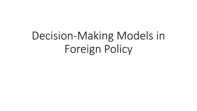# Decision-Making Models in Foreign Policy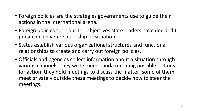- Foreign policies are the strategies governments use to guide their actions in the international arena.
- Foreign policies spell out the objectives state leaders have decided to pursue in a given relationship or situation.
- States establish various organizational structures and functional relationships to create and carry out foreign policies.
- Officials and agencies collect information about a situation through various channels; they write memoranda outlining possible options for action; they hold meetings to discuss the matter; some of them meet privately outside these meetings to decide how to steer the meetings.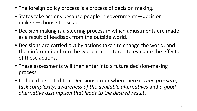- The foreign policy process is a process of decision making.
- States take actions because people in governments—decision makers—choose those actions.
- Decision making is a steering process in which adjustments are made as a result of feedback from the outside world.
- Decisions are carried out by actions taken to change the world, and then information from the world is monitored to evaluate the effects of these actions.
- These assessments will then enter into a future decision-making process.
- It should be noted that Decisions occur when there is *time pressure*, *task complexity*, *awareness of the available alternatives* and *a good alternative assumption that leads to the desired result*.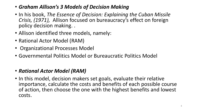- *Graham Allison's 3 Models of Decision Making*
- In his book, *The Essence of Decision: Explaining the Cuban Missile Crisis, (1971),* Allison focused on bureaucracy's effect on foreign policy decision making. .
- Allison identified three models, namely:
- Rational Actor Model (RAM)
- Organizational Processes Model
- Governmental Politics Model or Bureaucratic Politics Model

## • *Rational Actor Model (RAM)*

• In this model, decision makers set goals, evaluate their relative importance, calculate the costs and benefits of each possible course of action, then choose the one with the highest benefits and lowest costs.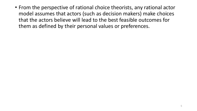• From the perspective of rational choice theorists, any rational actor model assumes that actors (such as decision makers) make choices that the actors believe will lead to the best feasible outcomes for them as defined by their personal values or preferences.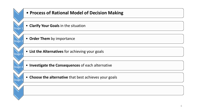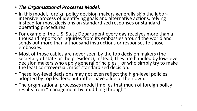- *The Organizational Processes Model.*
- In this model, foreign policy decision makers generally skip the laborintensive process of identifying goals and alternative actions, relying instead for most decisions on standardized responses or standard operating procedures.
- For example, the U.S. State Department every day receives more than a thousand reports or inquiries from its embassies around the world and sends out more than a thousand instructions or responses to those embassies.
- Most of those cables are never seen by the top decision makers (the secretary of state or the president); instead, they are handled by low-level decision makers who apply general principles—or who simply try to make the least controversial, most standardized decision.
- These low-level decisions may not even reflect the high-level policies adopted by top leaders, but rather have a life of their own.
- The organizational processes model implies that much of foreign policy results from "management by muddling through."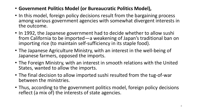- **Government Politics Model (or Bureaucratic Politics Model),**
- In this model, foreign policy decisions result from the bargaining process among various government agencies with somewhat divergent interests in the outcome.
- In 1992, the Japanese government had to decide whether to allow sushi from California to be imported—a weakening of Japan's traditional ban on importing rice (to maintain self-sufficiency in its staple food).
- The Japanese Agriculture Ministry, with an interest in the well-being of Japanese farmers, opposed the imports.
- The Foreign Ministry, with an interest in smooth relations with the United States, wanted to allow the imports.
- The final decision to allow imported sushi resulted from the tug-of-war between the ministries.
- Thus, according to the government politics model, foreign policy decisions reflect (a mix of) the interests of state agencies.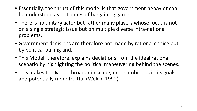- Essentially, the thrust of this model is that government behavior can be understood as outcomes of bargaining games.
- There is no unitary actor but rather many players whose focus is not on a single strategic issue but on multiple diverse intra-national problems.
- Government decisions are therefore not made by rational choice but by political pulling and.
- This Model, therefore, explains deviations from the ideal rational scenario by highlighting the political maneuvering behind the scenes.
- This makes the Model broader in scope, more ambitious in its goals and potentially more fruitful (Welch, 1992).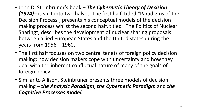- John D. Steinbruner's book *The Cybernetic Theory of Decision (1974)*– is split into two halves. The first half, titled "Paradigms of the Decision Process", presents his conceptual models of the decision making process whilst the second half, titled "The Politics of Nuclear Sharing", describes the development of nuclear sharing proposals between allied European States and the United states during the years from 1956 – 1960.
- The first half focuses on two central tenets of foreign policy decision making: how decision makers cope with uncertainty and how they deal with the inherent conflictual nature of many of the goals of foreign policy.
- Similar to Allison, Steinbruner presents three models of decision making – *the Analytic Paradigm*, *the Cybernetic Paradigm* and *the Cognitive Processes model.*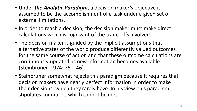- Under *the Analytic Paradigm*, a decision maker's objective is assumed to be the accomplishment of a task under a given set of external limitations.
- In order to reach a decision, the decision maker must make direct calculations which is cognizant of the trade-offs involved.
- The decision maker is guided by the implicit assumptions that alternative states of the world produce differently valued outcomes for the same course of action and that these outcome calculations are continuously updated as new information becomes available (Steinbruner, 1974: 25 – 46).
- Steinbruner somewhat rejects this paradigm because it requires that decision makers have nearly perfect information in order to make their decisions, which they rarely have. In his view, this paradigm stipulates conditions which cannot be met.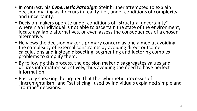- In contrast, his *Cybernetic Paradigm* Steinbruner attempted to explain decision making as it occurs in reality, i.e., under conditions of complexity and uncertainty.
- Decision makers operate under conditions of "structural uncertainty" wherein an individual is not able to ascertain the state of the environment, locate available alternatives, or even assess the consequences of a chosen alternative.
- He views the decision maker's primary concern as one aimed at avoiding the complexity of external constraints by avoiding direct outcome calculations and instead dissecting, segmenting and factoring complex problems to simplify them.
- By following this process, the decision maker disaggregates values and utilizes information selectively, thus avoiding the need to have perfect information.
- Basically speaking, he argued that the cybernetic processes of "incrementalism" and "satisficing" used by individuals explained simple and "routine" decisions.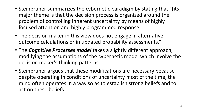- Steinbruner summarizes the cybernetic paradigm by stating that "[its] major theme is that the decision process is organized around the problem of controlling inherent uncertainty by means of highly focused attention and highly programmed response.
- The decision maker in this view does not engage in alternative outcome calculations or in updated probability assessments."
- The *Cognitive Processes model* takes a slightly different approach, modifying the assumptions of the cybernetic model which involve the decision maker's thinking patterns.
- Steinbruner argues that these modifications are necessary because despite operating in conditions of uncertainty most of the time, the mind often operates in a way so as to establish strong beliefs and to act on these beliefs.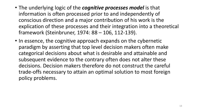- The underlying logic of the *cognitive processes model* is that information is often processed prior to and independently of conscious direction and a major contribution of his work is the explication of these processes and their integration into a theoretical framework (Steinbruner, 1974: 88 – 106, 112-139).
- In essence, the cognitive approach expands on the cybernetic paradigm by asserting that top level decision makers often make categorical decisions about what is desirable and attainable and subsequent evidence to the contrary often does not alter these decisions. Decision makers therefore do not construct the careful trade-offs necessary to attain an optimal solution to most foreign policy problems.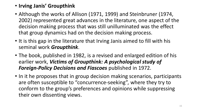#### • **Irving Janis' Groupthink**

- Although the works of Allison (1971, 1999) and Steinbruner (1974, 2002) represented great advances in the literature, one aspect of the decision making process that was still unilluminated was the effect that group dynamics had on the decision making process.
- It is this gap in the literature that Irving Janis aimed to fill with his seminal work *Groupthink*.
- The book, published in 1982, is a revised and enlarged edition of his earlier work, *Victims of Groupthink: A psychological study of Foreign-Policy Decisions and Fiascoes* published in 1972.
- In it he proposes that in group decision making scenarios, participants are often susceptible to "concurrence-seeking", where they try to conform to the group's preferences and opinions while suppressing their own dissenting views.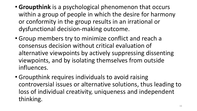- **Groupthink** is a psychological phenomenon that occurs within a group of people in which the desire for harmony or conformity in the group results in an irrational or dysfunctional decision-making outcome.
- Group members try to minimize conflict and reach a consensus decision without critical evaluation of alternative viewpoints by actively suppressing dissenting viewpoints, and by isolating themselves from outside influences.
- Groupthink requires individuals to avoid raising controversial issues or alternative solutions, thus leading to loss of individual creativity, uniqueness and independent thinking.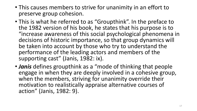- This causes members to strive for unanimity in an effort to preserve group cohesion.
- This is what he referred to as "Groupthink". In the preface to the 1982 version of his book, he states that his purpose is to "increase awareness of this social psychological phenomena in decisions of historic importance, so that group dynamics will be taken into account by those who try to understand the performance of the leading actors and members of the supporting cast" (Janis, 1982: ix).
- *Janis* defines groupthink as a "mode of thinking that people engage in when they are deeply involved in a cohesive group, when the members, striving for unanimity override their motivation to realistically appraise alternative courses of action" (Janis, 1982: 9).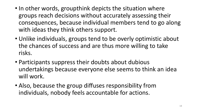- In other words, groupthink depicts the situation where groups reach decisions without accurately assessing their consequences, because individual members tend to go along with ideas they think others support.
- Unlike individuals, groups tend to be overly optimistic about the chances of success and are thus more willing to take risks.
- Participants suppress their doubts about dubious undertakings because everyone else seems to think an idea will work.
- Also, because the group diffuses responsibility from individuals, nobody feels accountable for actions.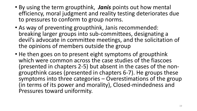- By using the term groupthink, *Janis* points out how mental efficiency, moral judgment and reality testing deteriorates due to pressures to conform to group norms.
- As way of preventing groupthink, Janis recommended: breaking larger groups into sub-committees, designating a devil's advocate in committee meetings, and the solicitation of the opinions of members outside the group
- He then goes on to present eight symptoms of groupthink which were common across the case studies of the fiascoes (presented in chapters 2-5) but absent in the cases of the nongroupthink cases (presented in chapters 6-7). He groups these symptoms into three categories – Overestimations of the group (in terms of its power and morality), Closed-mindedness and Pressures toward uniformity.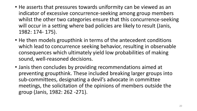- He asserts that pressures towards uniformity can be viewed as an indicator of excessive concurrence-seeking among group members whilst the other two categories ensure that this concurrence-seeking will occur in a setting where bad policies are likely to result (Janis, 1982: 174- 175).
- He then models groupthink in terms of the antecedent conditions which lead to concurrence seeking behavior, resulting in observable consequences which ultimately yield low probabilities of making sound, well-reasoned decisions.
- Janis then concludes by providing recommendations aimed at preventing groupthink. These included breaking larger groups into sub-committees, designating a devil's advocate in committee meetings, the solicitation of the opinions of members outside the group (Janis, 1982: 262 -271).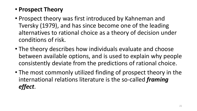# • **Prospect Theory**

- Prospect theory was first introduced by Kahneman and Tversky (1979), and has since become one of the leading alternatives to rational choice as a theory of decision under conditions of risk.
- The theory describes how individuals evaluate and choose between available options, and is used to explain why people consistently deviate from the predictions of rational choice.
- The most commonly utilized finding of prospect theory in the international relations literature is the so-called *framing effect*.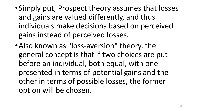- •Simply put, Prospect theory assumes that losses and gains are valued differently, and thus individuals make decisions based on perceived gains instead of perceived losses.
- Also known as "loss-aversion" theory, the general concept is that if two choices are put before an individual, both equal, with one presented in terms of potential gains and the other in terms of possible losses, the former option will be chosen.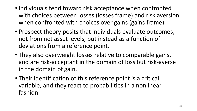- Individuals tend toward risk acceptance when confronted with choices between losses (losses frame) and risk aversion when confronted with choices over gains (gains frame).
- Prospect theory posits that individuals evaluate outcomes, not from net asset levels, but instead as a function of deviations from a reference point.
- They also overweight losses relative to comparable gains, and are risk-acceptant in the domain of loss but risk-averse in the domain of gain.
- Their identification of this reference point is a critical variable, and they react to probabilities in a nonlinear fashion.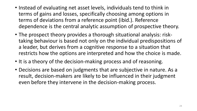- Instead of evaluating net asset levels, individuals tend to think in terms of gains and losses, specifically choosing among options in terms of deviations from a reference point (ibid.). Reference dependence is the central analytic assumption of prospective theory.
- The prospect theory provides a thorough situational analysis: risktaking behaviour is based not only on the individual predispositions of a leader, but derives from a cognitive response to a situation that restricts how the options are interpreted and how the choice is made.
- It is a theory of the decision-making process and of reasoning.
- Decisions are based on judgments that are subjective in nature. As a result, decision-makers are likely to be influenced in their judgment even before they intervene in the decision-making process.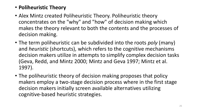## • **Poliheuristic Theory**

- Alex Mintz created Poliheuristic Theory. Poliheuristic theory concentrates on the "why" and "how" of decision making which makes the theory relevant to both the contents and the processes of decision making.
- The term poliheuristic can be subdivided into the roots *poly* (many) and *heuristic* (shortcuts), which refers to the cognitive mechanisms decision makers utilize in attempts to simplify complex decision tasks (Geva, Redd, and Mintz 2000; Mintz and Geva 1997; Mintz et al. 1997).
- The poliheuristic theory of decision making proposes that policy makers employ a two-stage decision process where in the first stage decision makers initially screen available alternatives utilizing cognitive-based heuristic strategies.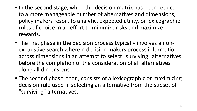- In the second stage, when the decision matrix has been reduced to a more manageable number of alternatives and dimensions, policy makers resort to analytic, expected utility, or lexicographic rules of choice in an effort to minimize risks and maximize rewards.
- The first phase in the decision process typically involves a nonexhaustive search wherein decision makers process information across dimensions in an attempt to select "surviving" alternatives before the completion of the consideration of all alternatives along all dimensions.
- The second phase, then, consists of a lexicographic or maximizing decision rule used in selecting an alternative from the subset of "surviving" alternatives.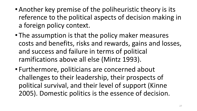- Another key premise of the poliheuristic theory is its reference to the political aspects of decision making in a foreign policy context.
- The assumption is that the policy maker measures costs and benefits, risks and rewards, gains and losses, and success and failure in terms of political ramifications above all else (Mintz 1993).
- Furthermore, politicians are concerned about challenges to their leadership, their prospects of political survival, and their level of support (Kinne 2005). Domestic politics is the essence of decision.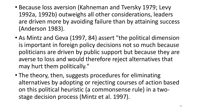- Because loss aversion (Kahneman and Tversky 1979; Levy 1992a, 1992b) outweighs all other considerations, leaders are driven more by avoiding failure than by attaining success (Anderson 1983).
- As Mintz and Geva (1997, 84) assert "the political dimension is important in foreign policy decisions not so much because politicians are driven by public support but because they are averse to loss and would therefore reject alternatives that may hurt them politically."
- The theory, then, suggests procedures for eliminating alternatives by adopting or rejecting courses of action based on this political heuristic (a commonsense rule) in a twostage decision process (Mintz et al. 1997).